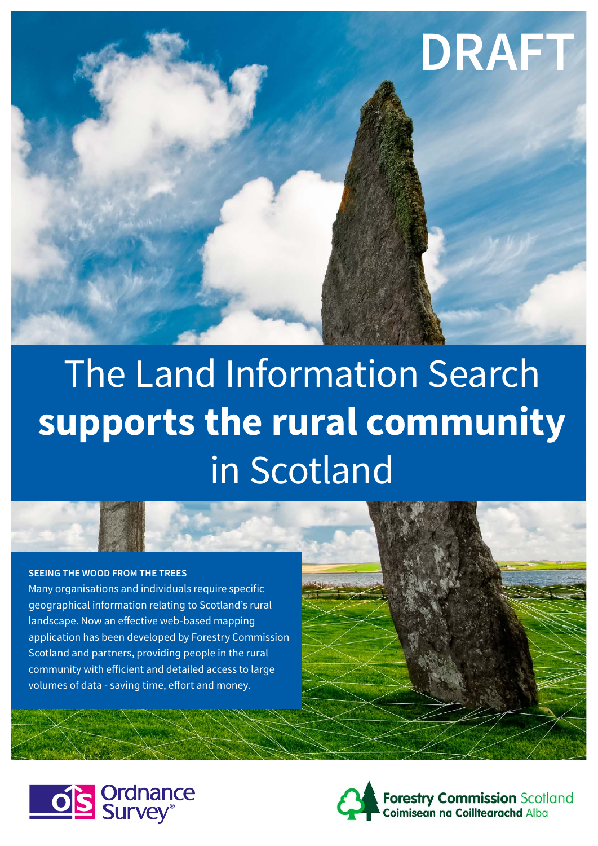

# The Land Information Search **supports the rural community**  in Scotland

## **SEEING THE WOOD FROM THE TREES**

Many organisations and individuals require specific geographical information relating to Scotland's rural landscape. Now an effective web-based mapping application has been developed by Forestry Commission Scotland and partners, providing people in the rural community with efficient and detailed access to large volumes of data - saving time, effort and money.